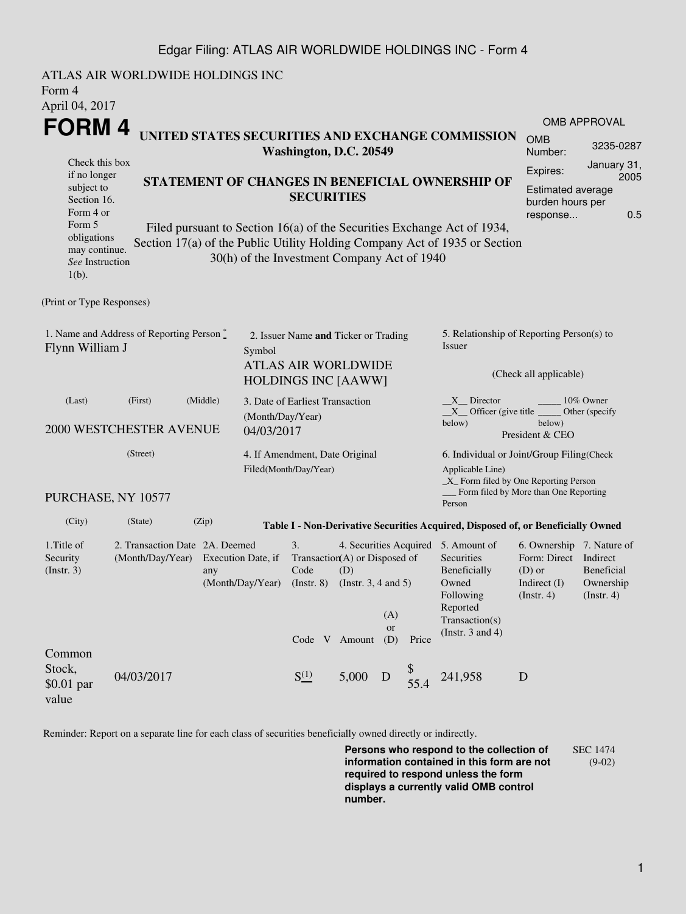## Edgar Filing: ATLAS AIR WORLDWIDE HOLDINGS INC - Form 4

| Form 4<br>April 04, 2017                                                                                                              | ATLAS AIR WORLDWIDE HOLDINGS INC                                      |                                                                                                                                                                                                                                                                              |                                                         |                                                                                                                                          |                                                                            |                                                                                                    |                                                                                                                                                  |                                                                                                                      |                                                                                           |                                                    |  |  |
|---------------------------------------------------------------------------------------------------------------------------------------|-----------------------------------------------------------------------|------------------------------------------------------------------------------------------------------------------------------------------------------------------------------------------------------------------------------------------------------------------------------|---------------------------------------------------------|------------------------------------------------------------------------------------------------------------------------------------------|----------------------------------------------------------------------------|----------------------------------------------------------------------------------------------------|--------------------------------------------------------------------------------------------------------------------------------------------------|----------------------------------------------------------------------------------------------------------------------|-------------------------------------------------------------------------------------------|----------------------------------------------------|--|--|
|                                                                                                                                       |                                                                       |                                                                                                                                                                                                                                                                              |                                                         |                                                                                                                                          |                                                                            |                                                                                                    |                                                                                                                                                  |                                                                                                                      |                                                                                           | <b>OMB APPROVAL</b>                                |  |  |
| FORM 4                                                                                                                                |                                                                       |                                                                                                                                                                                                                                                                              |                                                         |                                                                                                                                          | UNITED STATES SECURITIES AND EXCHANGE COMMISSION<br>Washington, D.C. 20549 |                                                                                                    |                                                                                                                                                  |                                                                                                                      | <b>OMB</b><br>Number:                                                                     | 3235-0287                                          |  |  |
| Check this box<br>if no longer<br>subject to<br>Section 16.<br>Form 4 or<br>Form 5<br>obligations<br>may continue.<br>See Instruction |                                                                       | STATEMENT OF CHANGES IN BENEFICIAL OWNERSHIP OF<br><b>SECURITIES</b><br>Filed pursuant to Section 16(a) of the Securities Exchange Act of 1934,<br>Section 17(a) of the Public Utility Holding Company Act of 1935 or Section<br>30(h) of the Investment Company Act of 1940 |                                                         |                                                                                                                                          |                                                                            | January 31,<br>Expires:<br>2005<br><b>Estimated average</b><br>burden hours per<br>0.5<br>response |                                                                                                                                                  |                                                                                                                      |                                                                                           |                                                    |  |  |
| $1(b)$ .                                                                                                                              |                                                                       |                                                                                                                                                                                                                                                                              |                                                         |                                                                                                                                          |                                                                            |                                                                                                    |                                                                                                                                                  |                                                                                                                      |                                                                                           |                                                    |  |  |
| (Print or Type Responses)                                                                                                             |                                                                       |                                                                                                                                                                                                                                                                              |                                                         |                                                                                                                                          |                                                                            |                                                                                                    |                                                                                                                                                  |                                                                                                                      |                                                                                           |                                                    |  |  |
| 1. Name and Address of Reporting Person*<br>Flynn William J<br>Symbol                                                                 |                                                                       |                                                                                                                                                                                                                                                                              |                                                         | 2. Issuer Name and Ticker or Trading<br><b>ATLAS AIR WORLDWIDE</b><br><b>HOLDINGS INC [AAWW]</b>                                         |                                                                            |                                                                                                    |                                                                                                                                                  | 5. Relationship of Reporting Person(s) to<br>Issuer<br>(Check all applicable)                                        |                                                                                           |                                                    |  |  |
| (First)<br>(Middle)<br>(Last)<br>(Month/Day/Year)<br><b>2000 WESTCHESTER AVENUE</b><br>04/03/2017                                     |                                                                       |                                                                                                                                                                                                                                                                              |                                                         | 3. Date of Earliest Transaction                                                                                                          |                                                                            |                                                                                                    |                                                                                                                                                  | $X$ Director<br>10% Owner<br>$X$ Officer (give title $\_\_\_\$ Other (specify<br>below)<br>below)<br>President & CEO |                                                                                           |                                                    |  |  |
| (Street)                                                                                                                              |                                                                       |                                                                                                                                                                                                                                                                              | 4. If Amendment, Date Original<br>Filed(Month/Day/Year) |                                                                                                                                          |                                                                            |                                                                                                    | 6. Individual or Joint/Group Filing(Check<br>Applicable Line)<br>_X_ Form filed by One Reporting Person<br>Form filed by More than One Reporting |                                                                                                                      |                                                                                           |                                                    |  |  |
|                                                                                                                                       | PURCHASE, NY 10577                                                    |                                                                                                                                                                                                                                                                              |                                                         |                                                                                                                                          |                                                                            |                                                                                                    |                                                                                                                                                  | Person                                                                                                               |                                                                                           |                                                    |  |  |
| (City)                                                                                                                                | (State)                                                               | (Zip)                                                                                                                                                                                                                                                                        |                                                         |                                                                                                                                          |                                                                            |                                                                                                    |                                                                                                                                                  | Table I - Non-Derivative Securities Acquired, Disposed of, or Beneficially Owned                                     |                                                                                           |                                                    |  |  |
| 1.Title of<br>Security<br>(Insert. 3)                                                                                                 | 2. Transaction Date 2A. Deemed<br>(Month/Day/Year) Execution Date, if | any                                                                                                                                                                                                                                                                          | (Month/Day/Year)                                        | 3.<br>4. Securities Acquired 5. Amount of<br>Transaction(A) or Disposed of<br>Code<br>(D)<br>(Instr. $3, 4$ and $5$ )<br>$($ Instr. $8)$ |                                                                            |                                                                                                    |                                                                                                                                                  | <b>Securities</b><br>Beneficially<br>Owned<br>Following<br>Reported                                                  | 6. Ownership 7. Nature of<br>Form: Direct<br>$(D)$ or<br>Indirect (I)<br>$($ Instr. 4 $)$ | Indirect<br>Beneficial<br>Ownership<br>(Insert. 4) |  |  |
| Common                                                                                                                                |                                                                       |                                                                                                                                                                                                                                                                              |                                                         | Code V Amount                                                                                                                            |                                                                            | (A)<br><b>or</b><br>(D)                                                                            | Price                                                                                                                                            | Transaction(s)<br>(Instr. $3$ and $4$ )                                                                              |                                                                                           |                                                    |  |  |
| Stock,<br>$$0.01$ par<br>value                                                                                                        | 04/03/2017                                                            |                                                                                                                                                                                                                                                                              |                                                         | $S^{(1)}_{-}$                                                                                                                            | 5,000                                                                      | D                                                                                                  | 55.4                                                                                                                                             | 241,958                                                                                                              | D                                                                                         |                                                    |  |  |

Reminder: Report on a separate line for each class of securities beneficially owned directly or indirectly.

**Persons who respond to the collection of information contained in this form are not required to respond unless the form displays a currently valid OMB control number.** SEC 1474 (9-02)